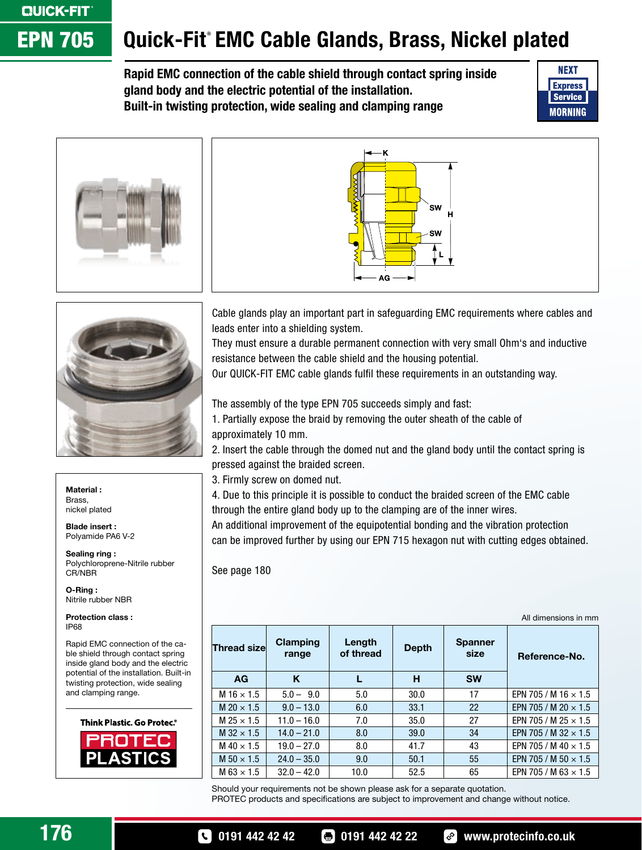## **CJUCK-FIT EPN 705**

## Quick-Fit EMC Cable Glands, Brass, Nickel plated

Rapid EMC connection of the cable shield through contact spring inside gland body and the electric potential of the installation. Built-in twisting protection, wide sealing and clamping range







Material : Brass, nickel plated

Blade insert : Polyamide PA6 V-2

Sealing ring : Polychloroprene-Nitrile rubber CR/NBR

O-Ring : Nitrile rubber NBR

Protection class : IP68

Rapid EMC connection of the cable shield through contact spring inside gland body and the electric potential of the installation. Built-in twisting protection, wide sealing and clamping range.



Cable glands play an important part in safeguarding EMC requirements where cables and leads enter into a shielding system.

They must ensure a durable permanent connection with very small Ohm's and inductive resistance between the cable shield and the housing potential.

Our QUICK-FIT EMC cable glands fulfil these requirements in an outstanding way.

The assembly of the type EPN 705 succeeds simply and fast:

1. Partially expose the braid by removing the outer sheath of the cable of approximately 10 mm.

2. Insert the cable through the domed nut and the gland body until the contact spring is pressed against the braided screen.

3. Firmly screw on domed nut.

4. Due to this principle it is possible to conduct the braided screen of the EMC cable through the entire gland body up to the clamping are of the inner wires.

An additional improvement of the equipotential bonding and the vibration protection can be improved further by using our EPN 715 hexagon nut with cutting edges obtained.

See page 180

|                     |                   |                     |              |                        | All dimensions in mm        |
|---------------------|-------------------|---------------------|--------------|------------------------|-----------------------------|
| <b>Thread size</b>  | Clamping<br>range | Length<br>of thread | <b>Depth</b> | <b>Spanner</b><br>size | Reference-No.               |
| <b>AG</b>           | Κ                 |                     | н            | <b>SW</b>              |                             |
| M $16 \times 1.5$   | $5.0 - 9.0$       | 5.0                 | 30.0         | 17                     | EPN 705 / M 16 $\times$ 1.5 |
| $M$ 20 $\times$ 1.5 | $9.0 - 13.0$      | 6.0                 | 33.1         | 22                     | EPN 705 / M 20 $\times$ 1.5 |
| M 25 $\times$ 1.5   | $11.0 - 16.0$     | 7.0                 | 35.0         | 27                     | EPN 705 / M 25 $\times$ 1.5 |
| M $32 \times 1.5$   | $14.0 - 21.0$     | 8.0                 | 39.0         | 34                     | EPN 705 / M 32 $\times$ 1.5 |
| M 40 $\times$ 1.5   | $19.0 - 27.0$     | 8.0                 | 41.7         | 43                     | EPN 705 / M 40 $\times$ 1.5 |
| M 50 $\times$ 1.5   | $24.0 - 35.0$     | 9.0                 | 50.1         | 55                     | EPN 705 / M 50 $\times$ 1.5 |
| $M$ 63 $\times$ 1.5 | $32.0 - 42.0$     | 10.0                | 52.5         | 65                     | EPN 705 / M 63 $\times$ 1.5 |

Should your requirements not be shown please ask for a separate quotation. PROTEC products and specifications are subject to improvement and change without notice.